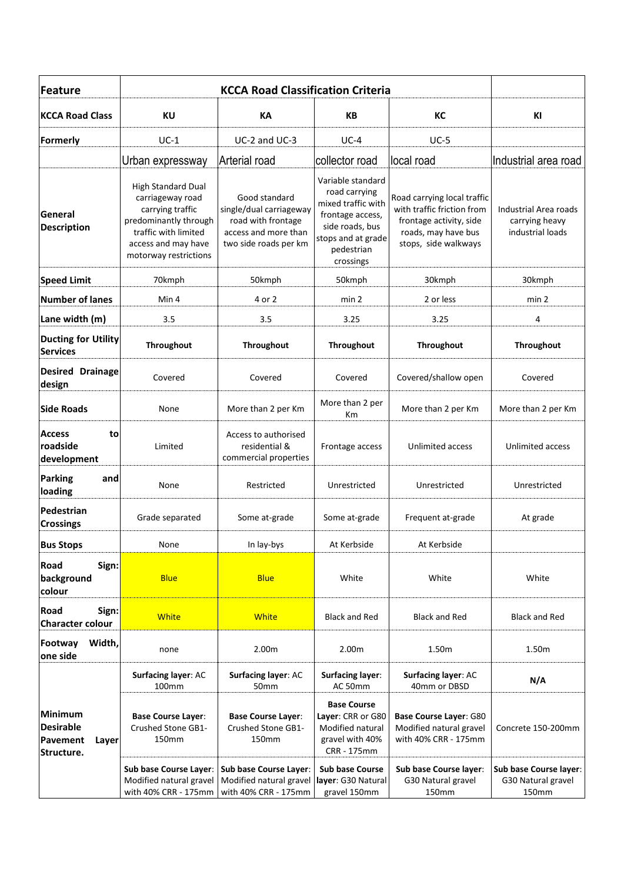| Feature                                                        |                                                                                                                                                                    |                                                                                                                 |                                                                                                                                                  |                                                                                                                                     |                                                             |
|----------------------------------------------------------------|--------------------------------------------------------------------------------------------------------------------------------------------------------------------|-----------------------------------------------------------------------------------------------------------------|--------------------------------------------------------------------------------------------------------------------------------------------------|-------------------------------------------------------------------------------------------------------------------------------------|-------------------------------------------------------------|
| <b>KCCA Road Class</b>                                         | KU                                                                                                                                                                 | KA                                                                                                              | <b>KB</b>                                                                                                                                        | КC                                                                                                                                  | KI                                                          |
| Formerly                                                       | $UC-1$                                                                                                                                                             | UC-2 and UC-3                                                                                                   | $UC-4$                                                                                                                                           | $UC-5$                                                                                                                              |                                                             |
|                                                                | Urban expressway                                                                                                                                                   | Arterial road                                                                                                   | collector road                                                                                                                                   | local road                                                                                                                          | Industrial area road                                        |
| General<br><b>Description</b>                                  | <b>High Standard Dual</b><br>carriageway road<br>carrying traffic<br>predominantly through<br>traffic with limited<br>access and may have<br>motorway restrictions | Good standard<br>single/dual carriageway<br>road with frontage<br>access and more than<br>two side roads per km | Variable standard<br>road carrying<br>mixed traffic with<br>frontage access,<br>side roads, bus<br>stops and at grade<br>pedestrian<br>crossings | Road carrying local traffic<br>with traffic friction from<br>frontage activity, side<br>roads, may have bus<br>stops, side walkways | Industrial Area roads<br>carrying heavy<br>industrial loads |
| <b>Speed Limit</b>                                             | 70kmph                                                                                                                                                             | 50kmph                                                                                                          | 50kmph                                                                                                                                           | 30kmph                                                                                                                              | 30kmph                                                      |
| <b>Number of lanes</b>                                         | Min 4                                                                                                                                                              | 4 or 2                                                                                                          | min <sub>2</sub>                                                                                                                                 | 2 or less                                                                                                                           | min <sub>2</sub>                                            |
| Lane width (m)                                                 | 3.5                                                                                                                                                                | 3.5                                                                                                             | 3.25                                                                                                                                             | 3.25                                                                                                                                | 4                                                           |
| <b>Ducting for Utility</b><br><b>Services</b>                  | Throughout                                                                                                                                                         | <b>Throughout</b>                                                                                               | <b>Throughout</b>                                                                                                                                | <b>Throughout</b>                                                                                                                   | Throughout                                                  |
| <b>Desired Drainage</b><br>design                              | Covered                                                                                                                                                            | Covered                                                                                                         | Covered                                                                                                                                          | Covered/shallow open                                                                                                                | Covered                                                     |
| <b>Side Roads</b>                                              | None                                                                                                                                                               | More than 2 per Km                                                                                              | More than 2 per<br>Кm                                                                                                                            | More than 2 per Km                                                                                                                  | More than 2 per Km                                          |
| <b>Access</b><br>to<br>roadside<br>development                 | Limited                                                                                                                                                            | Access to authorised<br>residential &<br>commercial properties                                                  | Frontage access                                                                                                                                  | Unlimited access                                                                                                                    | Unlimited access                                            |
| <b>Parking</b><br>and<br>loading                               | None                                                                                                                                                               | Restricted                                                                                                      | Unrestricted                                                                                                                                     | Unrestricted                                                                                                                        | Unrestricted                                                |
| Pedestrian<br><b>Crossings</b>                                 | Grade separated                                                                                                                                                    | Some at-grade                                                                                                   | Some at-grade                                                                                                                                    | Frequent at-grade                                                                                                                   | At grade                                                    |
| <b>Bus Stops</b>                                               | None                                                                                                                                                               | In lay-bys                                                                                                      | At Kerbside                                                                                                                                      | At Kerbside                                                                                                                         |                                                             |
| Road<br>Sign:<br>background<br>colour                          | <b>Blue</b>                                                                                                                                                        | <b>Blue</b>                                                                                                     | White                                                                                                                                            | White                                                                                                                               | White                                                       |
| Road<br>Sign:<br><b>Character colour</b>                       | <b>White</b>                                                                                                                                                       | <b>White</b>                                                                                                    | <b>Black and Red</b>                                                                                                                             | <b>Black and Red</b>                                                                                                                | <b>Black and Red</b>                                        |
| Width,<br>Footway<br>one side                                  | none                                                                                                                                                               | 2.00m                                                                                                           | 2.00m                                                                                                                                            | 1.50m                                                                                                                               | 1.50m                                                       |
|                                                                | Surfacing layer: AC<br>100mm                                                                                                                                       | Surfacing layer: AC<br>50mm                                                                                     | <b>Surfacing layer:</b><br>AC 50mm                                                                                                               | Surfacing layer: AC<br>40mm or DBSD                                                                                                 | N/A                                                         |
| Minimum<br><b>Desirable</b><br>Pavement<br>Layer<br>Structure. | <b>Base Course Layer:</b><br>Crushed Stone GB1-<br>150mm                                                                                                           | <b>Base Course Layer:</b><br>Crushed Stone GB1-<br>150mm                                                        | <b>Base Course</b><br>Layer: CRR or G80<br>Modified natural<br>gravel with 40%<br>CRR - 175mm                                                    | Base Course Layer: G80<br>Modified natural gravel<br>with 40% CRR - 175mm                                                           | Concrete 150-200mm                                          |
|                                                                | Sub base Course Layer:<br>Modified natural gravel<br>with 40% CRR - 175mm                                                                                          | Sub base Course Layer:<br>Modified natural gravel<br>with 40% CRR - 175mm                                       | <b>Sub base Course</b><br>layer: G30 Natural<br>gravel 150mm                                                                                     | Sub base Course layer:<br>G30 Natural gravel<br>150mm                                                                               | Sub base Course layer:<br>G30 Natural gravel<br>150mm       |